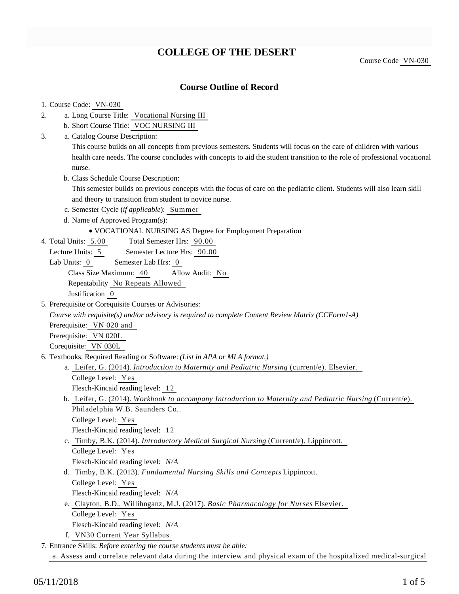# **COLLEGE OF THE DESERT**

Course Code VN-030

### **Course Outline of Record**

# 1. Course Code: VN-030

- a. Long Course Title: Vocational Nursing III 2.
	- b. Short Course Title: VOC NURSING III
- Catalog Course Description: a. 3.

This course builds on all concepts from previous semesters. Students will focus on the care of children with various health care needs. The course concludes with concepts to aid the student transition to the role of professional vocational nurse.

b. Class Schedule Course Description:

This semester builds on previous concepts with the focus of care on the pediatric client. Students will also learn skill and theory to transition from student to novice nurse.

- c. Semester Cycle (*if applicable*): Summer
- d. Name of Approved Program(s):
	- VOCATIONAL NURSING AS Degree for Employment Preparation
- Total Semester Hrs: 90.00 4. Total Units: 5.00
	- Lecture Units: 5 Semester Lecture Hrs: 90.00
	- Lab Units: 0 Semester Lab Hrs: 0

Class Size Maximum: 40 Allow Audit: No

Repeatability No Repeats Allowed

Justification 0

5. Prerequisite or Corequisite Courses or Advisories:

*Course with requisite(s) and/or advisory is required to complete Content Review Matrix (CCForm1-A)*

Prerequisite: VN 020 and

Prerequisite: VN 020L

Corequisite: VN 030L

- 6. Textbooks, Required Reading or Software: (List in APA or MLA format.)
	- a. Leifer, G. (2014). *Introduction to Maternity and Pediatric Nursing* (current/e). Elsevier.
		- College Level: Yes

Flesch-Kincaid reading level: 12

b. Leifer, G. (2014). *Workbook to accompany Introduction to Maternity and Pediatric Nursing* (Current/e). Philadelphia W.B. Saunders Co..

College Level: Yes

Flesch-Kincaid reading level: 12

c. Timby, B.K. (2014). *Introductory Medical Surgical Nursing* (Current/e). Lippincott.

College Level: Yes

Flesch-Kincaid reading level: *N/A*

- Timby, B.K. (2013). *Fundamental Nursing Skills and Concepts* Lippincott. d.
	- College Level: Yes
	- Flesch-Kincaid reading level: *N/A*
- e. Clayton, B.D., Willihnganz, M.J. (2017). *Basic Pharmacology for Nurses* Elsevier. College Level: Yes

Flesch-Kincaid reading level: *N/A*

f. VN30 Current Year Syllabus

Entrance Skills: *Before entering the course students must be able:* 7.

a. Assess and correlate relevant data during the interview and physical exam of the hospitalized medical-surgical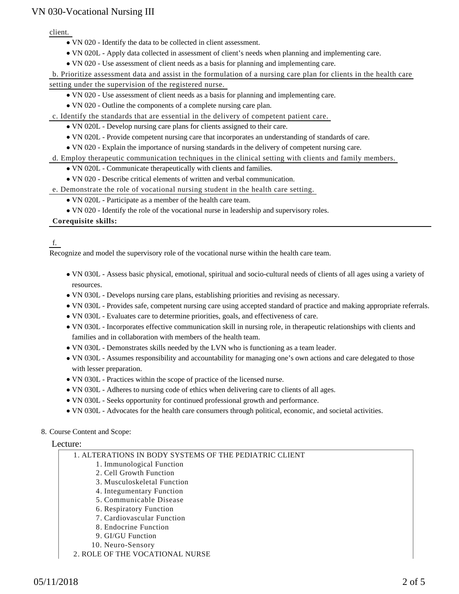client.

- VN 020 Identify the data to be collected in client assessment.
- VN 020L Apply data collected in assessment of client's needs when planning and implementing care.
- VN 020 Use assessment of client needs as a basis for planning and implementing care.

b. Prioritize assessment data and assist in the formulation of a nursing care plan for clients in the health care

setting under the supervision of the registered nurse.

- VN 020 Use assessment of client needs as a basis for planning and implementing care.
- VN 020 Outline the components of a complete nursing care plan.
- c. Identify the standards that are essential in the delivery of competent patient care.
	- VN 020L Develop nursing care plans for clients assigned to their care.
	- VN 020L Provide competent nursing care that incorporates an understanding of standards of care.

VN 020 - Explain the importance of nursing standards in the delivery of competent nursing care.

d. Employ therapeutic communication techniques in the clinical setting with clients and family members.

- VN 020L Communicate therapeutically with clients and families.
- VN 020 Describe critical elements of written and verbal communication.
- e. Demonstrate the role of vocational nursing student in the health care setting.
	- VN 020L Participate as a member of the health care team.
	- VN 020 Identify the role of the vocational nurse in leadership and supervisory roles.

#### **Corequisite skills:**

### f.

Recognize and model the supervisory role of the vocational nurse within the health care team.

- VN 030L Assess basic physical, emotional, spiritual and socio-cultural needs of clients of all ages using a variety of resources.
- VN 030L Develops nursing care plans, establishing priorities and revising as necessary.
- VN 030L Provides safe, competent nursing care using accepted standard of practice and making appropriate referrals.
- VN 030L Evaluates care to determine priorities, goals, and effectiveness of care.
- VN 030L Incorporates effective communication skill in nursing role, in therapeutic relationships with clients and families and in collaboration with members of the health team.
- VN 030L Demonstrates skills needed by the LVN who is functioning as a team leader.
- VN 030L Assumes responsibility and accountability for managing one's own actions and care delegated to those with lesser preparation.
- VN 030L Practices within the scope of practice of the licensed nurse.
- VN 030L Adheres to nursing code of ethics when delivering care to clients of all ages.
- VN 030L Seeks opportunity for continued professional growth and performance.
- VN 030L Advocates for the health care consumers through political, economic, and societal activities.

### 8. Course Content and Scope:

#### Lecture:

| 1. ALTERATIONS IN BODY SYSTEMS OF THE PEDIATRIC CLIENT |
|--------------------------------------------------------|
| 1. Immunological Function                              |
| 2. Cell Growth Function                                |
| 3. Musculoskeletal Function                            |
| 4. Integumentary Function                              |
| 5. Communicable Disease                                |
| 6. Respiratory Function                                |
| 7. Cardiovascular Function                             |
| 8. Endocrine Function                                  |
| 9. GI/GU Function                                      |
| $10$ Norma Concomi                                     |

- 10. Neuro-Sensory
- 2. ROLE OF THE VOCATIONAL NURSE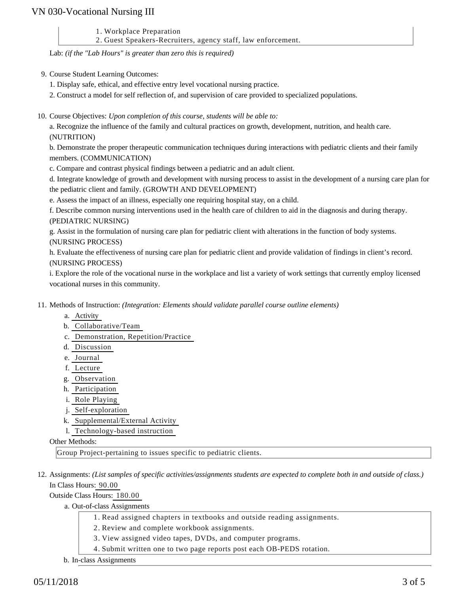1. Workplace Preparation

2. Guest Speakers-Recruiters, agency staff, law enforcement.

Lab: *(if the "Lab Hours" is greater than zero this is required)*

- 9. Course Student Learning Outcomes:
	- 1. Display safe, ethical, and effective entry level vocational nursing practice.
	- 2. Construct a model for self reflection of, and supervision of care provided to specialized populations.
- 10. Course Objectives: Upon completion of this course, students will be able to:

a. Recognize the influence of the family and cultural practices on growth, development, nutrition, and health care. (NUTRITION)

b. Demonstrate the proper therapeutic communication techniques during interactions with pediatric clients and their family members. (COMMUNICATION)

c. Compare and contrast physical findings between a pediatric and an adult client.

d. Integrate knowledge of growth and development with nursing process to assist in the development of a nursing care plan for the pediatric client and family. (GROWTH AND DEVELOPMENT)

e. Assess the impact of an illness, especially one requiring hospital stay, on a child.

f. Describe common nursing interventions used in the health care of children to aid in the diagnosis and during therapy. (PEDIATRIC NURSING)

g. Assist in the formulation of nursing care plan for pediatric client with alterations in the function of body systems. (NURSING PROCESS)

h. Evaluate the effectiveness of nursing care plan for pediatric client and provide validation of findings in client's record. (NURSING PROCESS)

i. Explore the role of the vocational nurse in the workplace and list a variety of work settings that currently employ licensed vocational nurses in this community.

- 11. Methods of Instruction: *(Integration: Elements should validate parallel course outline elements)* 
	- a. Activity
	- b. Collaborative/Team
	- c. Demonstration, Repetition/Practice
	- d. Discussion
	- e. Journal
	- f. Lecture
	- g. Observation
	- h. Participation
	- i. Role Playing
	- j. Self-exploration
	- k. Supplemental/External Activity
	- l. Technology-based instruction

Other Methods:

Group Project-pertaining to issues specific to pediatric clients.

12. Assignments: (List samples of specific activities/assignments students are expected to complete both in and outside of class.) In Class Hours: 90.00

Outside Class Hours: 180.00

a. Out-of-class Assignments

- 1. Read assigned chapters in textbooks and outside reading assignments.
- 2. Review and complete workbook assignments.
- 3. View assigned video tapes, DVDs, and computer programs.
- 4. Submit written one to two page reports post each OB-PEDS rotation.
- b. In-class Assignments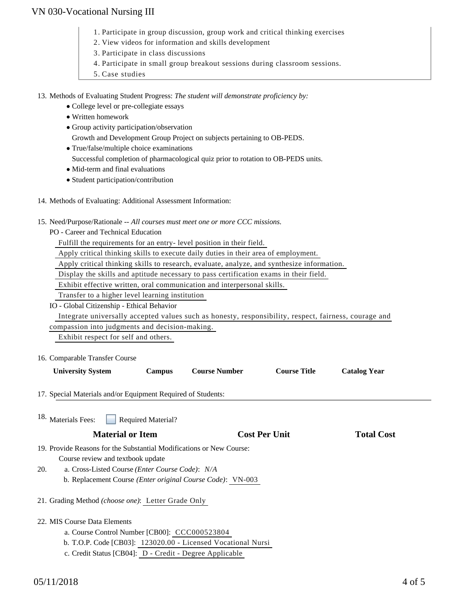- 1. Participate in group discussion, group work and critical thinking exercises
- 2. View videos for information and skills development
- 3. Participate in class discussions
- 4. Participate in small group breakout sessions during classroom sessions.
- 5. Case studies

13. Methods of Evaluating Student Progress: The student will demonstrate proficiency by:

- College level or pre-collegiate essays
- Written homework
- Group activity participation/observation Growth and Development Group Project on subjects pertaining to OB-PEDS.
- True/false/multiple choice examinations
	- Successful completion of pharmacological quiz prior to rotation to OB-PEDS units.
- Mid-term and final evaluations
- Student participation/contribution
- 14. Methods of Evaluating: Additional Assessment Information:
- 15. Need/Purpose/Rationale -- All courses must meet one or more CCC missions.
	- PO Career and Technical Education

Fulfill the requirements for an entry- level position in their field.

Apply critical thinking skills to execute daily duties in their area of employment.

Apply critical thinking skills to research, evaluate, analyze, and synthesize information.

Display the skills and aptitude necessary to pass certification exams in their field.

Exhibit effective written, oral communication and interpersonal skills.

Transfer to a higher level learning institution

IO - Global Citizenship - Ethical Behavior

 Integrate universally accepted values such as honesty, responsibility, respect, fairness, courage and compassion into judgments and decision-making.

Exhibit respect for self and others.

16. Comparable Transfer Course

| <b>University System</b> | <b>Campus</b> | <b>Course Number</b> | <b>Course Title</b> | Catalog Year |
|--------------------------|---------------|----------------------|---------------------|--------------|

17. Special Materials and/or Equipment Required of Students:

Required Material? 18. Materials Fees:

- 19. Provide Reasons for the Substantial Modifications or New Course: Course review and textbook update
- a. Cross-Listed Course *(Enter Course Code)*: *N/A* b. Replacement Course *(Enter original Course Code)*: VN-003 20.
- 21. Grading Method *(choose one)*: Letter Grade Only
- 22. MIS Course Data Elements
	- a. Course Control Number [CB00]: CCC000523804
	- b. T.O.P. Code [CB03]: 123020.00 Licensed Vocational Nursi
	- c. Credit Status [CB04]: D Credit Degree Applicable